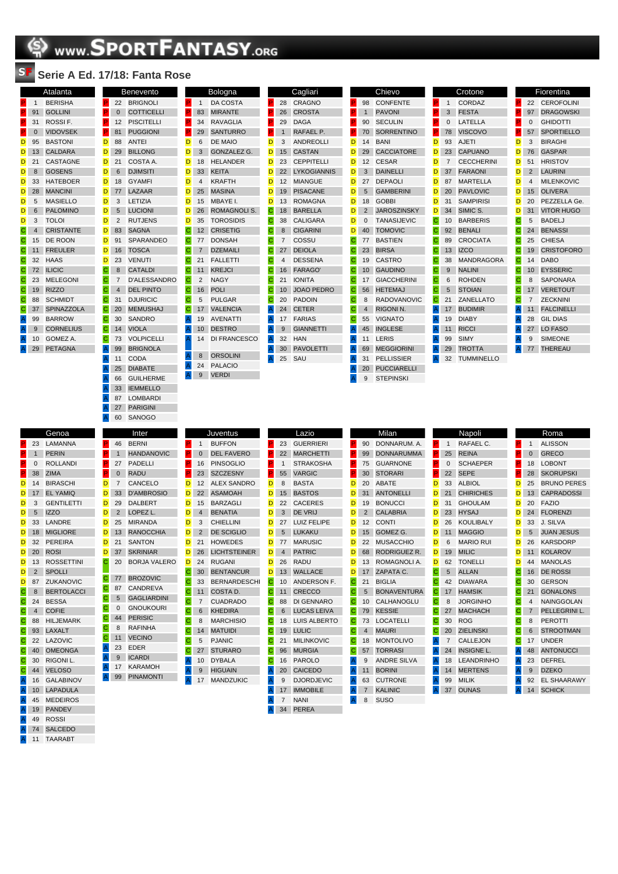## **SPORTFANTASY.ORG**

## SF **Serie A Ed. 17/18: Fanta Rose**

|                |                 | Atalanta          |
|----------------|-----------------|-------------------|
| P.             | $\overline{1}$  | <b>BERISHA</b>    |
| P.             | 91              | <b>GOLLINI</b>    |
| P.             | 31              | ROSSI F.          |
| P.             | $\Omega$        | <b>VIDOVSEK</b>   |
| D.             | 95              | <b>BASTONI</b>    |
| D              | 13              | <b>CALDARA</b>    |
| D              | 21              | CASTAGNE          |
| D              | 8               | <b>GOSENS</b>     |
| D              | 33              | <b>HATEBOER</b>   |
| D              | 28              | <b>MANCINI</b>    |
| D              | 5               | <b>MASIELLO</b>   |
| D              | $6\overline{6}$ | <b>PALOMINO</b>   |
| D              | 3               | <b>TOLOI</b>      |
| С              | $\overline{4}$  | <b>CRISTANTE</b>  |
| C              | 15              | DE ROON           |
| С              | 11              | <b>FREULER</b>    |
| C              | 32              | <b>HAAS</b>       |
| $\mathbf C$    | 72              | <b>ILICIC</b>     |
| C              | 23              | <b>MELEGONI</b>   |
| С              | 19              | <b>RIZZO</b>      |
| C              | 88              | <b>SCHMIDT</b>    |
| C              | 37              | <b>SPINAZZOLA</b> |
| $\overline{A}$ | 99              | <b>BARROW</b>     |
| $\overline{A}$ | 9               | <b>CORNELIUS</b>  |
| $\overline{A}$ | 10              | GOMEZ A.          |
| $\overline{A}$ | 29              | <b>PETAGNA</b>    |

|                | 11 I V.      | $\overline{\phantom{a}}$ and $\overline{\phantom{a}}$ |             |                |                 |
|----------------|--------------|-------------------------------------------------------|-------------|----------------|-----------------|
|                |              | <b>Benevento</b>                                      |             |                | Bologna         |
| P.             | 22           | <b>BRIGNOLI</b>                                       | P.          | $\mathbf{1}$   | <b>DA COST</b>  |
| P.             | $\mathbf{0}$ | <b>COTTICELLI</b>                                     | P.          | 83             | <b>MIRANTE</b>  |
| P              | 12           | <b>PISCITELLI</b>                                     | P.          | 34             | <b>RAVAGLI</b>  |
| P.             | 81           | <b>PUGGIONI</b>                                       | P.          | 29             | <b>SANTURI</b>  |
| D              | 88           | <b>ANTEI</b>                                          | D           | 6              | DE MAIO         |
| D              | 29           | <b>BILLONG</b>                                        | D           | 3              | <b>GONZALI</b>  |
| D              | 21           | COSTA A.                                              | D           | 18             | <b>HELANDE</b>  |
| D              | 6            | <b>DJIMSITI</b>                                       | D           | 33             | <b>KEITA</b>    |
| D              | 18           | <b>GYAMFI</b>                                         | D           | $\overline{4}$ | <b>KRAFTH</b>   |
| D              | 77           | LAZAAR                                                | D           | 25             | <b>MASINA</b>   |
| D              | 3            | LETIZIA                                               | D           | 15             | MBAYE I.        |
| D              | 5            | <b>LUCIONI</b>                                        | D           | 26             | <b>ROMAGN</b>   |
| D              | 2            | <b>RUTJENS</b>                                        | D           | 35             | <b>TOROSID</b>  |
| D              | 83           | <b>SAGNA</b>                                          | С           | 12             | <b>CRISETIO</b> |
| D              | 91           | <b>SPARANDEO</b>                                      | С           | 77             | <b>DONSAH</b>   |
| D              | 16           | <b>TOSCA</b>                                          | С           | $\overline{7}$ | <b>DZEMAIL</b>  |
| D              | 23           | <b>VENUTI</b>                                         | С           | 21             | <b>FALLETT</b>  |
| C              | 8            | <b>CATALDI</b>                                        | С           | 11             | <b>KREJCI</b>   |
| С              | 7            | <b>D'ALESSANDRO</b>                                   | С           | $\overline{2}$ | <b>NAGY</b>     |
| Ċ              | 4            | <b>DEL PINTO</b>                                      | C           | 16             | <b>POLI</b>     |
| C              | 31           | <b>DJURICIC</b>                                       | C           | 5              | <b>PULGAR</b>   |
| Ċ              | 20           | <b>MEMUSHAJ</b>                                       | $\mathbf C$ | 17             | <b>VALENCI</b>  |
| C              | 30           | <b>SANDRO</b>                                         | A           | 19             | AVENATT         |
| C              | 14           | <b>VIOLA</b>                                          | A           | 10             | <b>DESTRO</b>   |
| C              | 73           | <b>VOLPICELLI</b>                                     | Α           | 14             | DI FRANO        |
| $\mathsf{A}$   | 99           | <b>BRIGNOLA</b>                                       |             |                |                 |
| $\frac{A}{A}$  | 11           | <b>CODA</b>                                           | Α           | 8              | <b>ORSOLIN</b>  |
|                | 25           | <b>DIABATE</b>                                        | Α           | 24             | <b>PALACIO</b>  |
|                | 66           | <b>GUILHERME</b>                                      | A           | 9              | <b>VERDI</b>    |
| A<br>A         | 33           | <b>IEMMELLO</b>                                       |             |                |                 |
|                | 87           | <b>LOMBARDI</b>                                       |             |                |                 |
| $\overline{A}$ | 27           | <b>PARIGINI</b>                                       |             |                |                 |
| Ā              | 60           | SANOGO                                                |             |                |                 |
|                |              | Inter                                                 |             |                | Juventus        |
|                |              |                                                       |             |                |                 |

|    |                | <b>Bologna</b>      |              |                | Cagliari         |
|----|----------------|---------------------|--------------|----------------|------------------|
| P  | $\mathbf{1}$   | <b>DA COSTA</b>     | P            | 28             | <b>CRAGNO</b>    |
| P. | 83             | <b>MIRANTE</b>      | P.           | 26             | <b>CROSTA</b>    |
| P. | 34             | <b>RAVAGLIA</b>     | P            | 29             | <b>DAGA</b>      |
| P  | 29             | <b>SANTURRO</b>     | P            | $\mathbf{1}$   | RAFAEL P.        |
| D  | 6              | <b>DE MAIO</b>      | D            | 3              | <b>ANDREOLI</b>  |
| D  | 3              | <b>GONZALEZ G.</b>  | D            | 15             | <b>CASTAN</b>    |
| D  | 18             | <b>HELANDER</b>     | D            | 23             | <b>CEPPITELI</b> |
| D  | 33             | <b>KEITA</b>        | D            | 22             | <b>LYKOGIAN</b>  |
| D  | $\overline{4}$ | <b>KRAFTH</b>       | D            | 12             | <b>MIANGUE</b>   |
| D  | 25             | <b>MASINA</b>       | D            | 19             | <b>PISACANE</b>  |
| D  | 15             | MBAYE I.            | D            | 13             | <b>ROMAGNA</b>   |
| D  | 26             | <b>ROMAGNOLIS.</b>  | $\mathbf C$  | 18             | <b>BARELLA</b>   |
| D  | 35             | <b>TOROSIDIS</b>    | C            | 38             | <b>CALIGARA</b>  |
| C  | 12             | <b>CRISETIG</b>     | Ċ            | 8              | <b>CIGARINI</b>  |
| C  | 77             | <b>DONSAH</b>       | Ċ            | $\overline{7}$ | COSSU            |
| Ċ  | $\overline{7}$ | <b>DZEMAILI</b>     | Ċ            | 27             | <b>DEIOLA</b>    |
| Ċ  | 21             | <b>FALLETTI</b>     | C            | $\overline{4}$ | <b>DESSENA</b>   |
| С  | 11             | <b>KREJCI</b>       | Ċ            | 16             | <b>FARAGO'</b>   |
| C  | $\overline{2}$ | <b>NAGY</b>         | Ċ            | 21             | <b>IONITA</b>    |
| C  | 16             | <b>POLI</b>         | C            | 10             | <b>JOAO PED</b>  |
| Ċ  | 5              | <b>PULGAR</b>       | Ċ            | 20             | <b>PADOIN</b>    |
| C  | 17             | <b>VALENCIA</b>     | $\mathsf{A}$ | 24             | <b>CETER</b>     |
| A  | 19             | <b>AVENATTI</b>     | A            | 17             | <b>FARIAS</b>    |
| Ā  | 10             | <b>DESTRO</b>       | A            | 9              | <b>GIANNETT</b>  |
| A  | 14             | <b>DI FRANCESCO</b> | A            | 32             | <b>HAN</b>       |
|    |                |                     | A            | 30             | <b>PAVOLETT</b>  |
| A  | 8              | <b>ORSOLINI</b>     | A            | 25             | SAU              |
| A  | 24             | <b>PALACIO</b>      |              |                |                  |

| P.             | 28             | CRAGNO             |  |
|----------------|----------------|--------------------|--|
| P              | 26             | <b>CROSTA</b>      |  |
| P              | 29             | DAGA               |  |
| P.             | $\overline{1}$ | RAFAEL P.          |  |
| D              | 3              | <b>ANDREOLLI</b>   |  |
| D              | 15             | <b>CASTAN</b>      |  |
| D              | 23             | <b>CEPPITELLI</b>  |  |
| D              | 22             | <b>LYKOGIANNIS</b> |  |
| D              | 12             | <b>MIANGUE</b>     |  |
| D              | 19             | <b>PISACANE</b>    |  |
| D              | 13             | <b>ROMAGNA</b>     |  |
| C.             | 18             | <b>BARELLA</b>     |  |
| С              | 38             | <b>CALIGARA</b>    |  |
| C              | $\mathbf{8}$   | <b>CIGARINI</b>    |  |
| С              | $\overline{7}$ | COSSU              |  |
| C              | 27             | <b>DEIOLA</b>      |  |
| $\mathbf{C}$   | $\overline{a}$ | <b>DESSENA</b>     |  |
| $\mathbf{C}$   | 16             | <b>FARAGO'</b>     |  |
| C,             | 21             | <b>IONITA</b>      |  |
| C.             | 10             | <b>JOAO PEDRO</b>  |  |
| $\mathbf{C}$   | 20             | <b>PADOIN</b>      |  |
| A              | 24             | <b>CETER</b>       |  |
| $\overline{A}$ | 17             | <b>FARIAS</b>      |  |
| $\overline{A}$ | - 9            | <b>GIANNETTI</b>   |  |
| A              | 32             | HAN                |  |
| A              | 30             | <b>PAVOLETTI</b>   |  |
| $\overline{A}$ | 25             | SAU                |  |
|                |                |                    |  |

|                |                | Chievo             |
|----------------|----------------|--------------------|
| P.             | 98             | CONFENTE           |
| P.             | $\mathbf{1}$   | <b>PAVONI</b>      |
| P              | 90             | <b>SECULIN</b>     |
| P.             | 70             | <b>SORRENTINO</b>  |
| D              | 14             | BANI               |
| D              | 29             | <b>CACCIATORE</b>  |
| D              | 12             | CESAR              |
| D              | 3              | <b>DAINELLI</b>    |
| D              | 27             | <b>DEPAOLI</b>     |
| D              | 5              | <b>GAMBERINI</b>   |
| D              | 18             | <b>GOBBI</b>       |
| D              | $\overline{2}$ | <b>JAROSZINSKY</b> |
| D              | $\Omega$       | <b>TANASIJEVIC</b> |
| D              | 40             | <b>TOMOVIC</b>     |
| C.             | 77             | <b>BASTIEN</b>     |
| C              | 23             | <b>BIRSA</b>       |
| С              | 19             | CASTRO             |
| C              | 10             | <b>GAUDINO</b>     |
| C              | 17             | <b>GIACCHERINI</b> |
| C              | 56             | <b>HETEMAJ</b>     |
| C              | 8              | <b>RADOVANOVIC</b> |
| C              | $\overline{4}$ | <b>RIGONI N.</b>   |
| Ĉ,             | 55             | <b>VIGNATO</b>     |
| Ā              | 45             | <b>INGLESE</b>     |
| A              | 11             | LERIS              |
| Ä              | 69             | <b>MEGGIORINI</b>  |
| $\overline{A}$ | 31             | <b>PELLISSIER</b>  |
| Ä              | 20             | <b>PUCCIARELLI</b> |
| A              | 9              | <b>STEPINSKI</b>   |

т

|                         |                | Crotone           |    |                |
|-------------------------|----------------|-------------------|----|----------------|
| ø                       | 1              | CORDAZ            | P  | 22             |
| P                       | 3              | <b>FESTA</b>      | P  | 97             |
| P                       | $\mathbf 0$    | LATELLA           | P  | 0              |
| P.                      | 78             | <b>VISCOVO</b>    | P. | 57             |
| D                       | 93             | <b>AJETI</b>      | D  | 3              |
| D                       | 23             | <b>CAPUANO</b>    | D  | 76             |
| D                       | $\overline{7}$ | <b>CECCHERINI</b> | D  | 51             |
| D                       | 37             | <b>FARAONI</b>    | D  | $\overline{2}$ |
| D                       | 87             | <b>MARTELLA</b>   | D  | 4              |
| D                       | 20             | <b>PAVLOVIC</b>   | D  | 15             |
| D                       | 31             | <b>SAMPIRISI</b>  | D  | 20             |
| D                       | 34             | SIMIC S.          | D  | 31             |
| C                       | 10             | <b>BARBERIS</b>   | С  | 5              |
| $\mathsf{C}$            | 92             | <b>BENALI</b>     | C  | 24             |
| C                       | 89             | <b>CROCIATA</b>   | С  | 25             |
| C                       | 13             | <b>IZCO</b>       | С  | 1 <sup>5</sup> |
| $\mathsf{C}$            | 38             | <b>MANDRAGORA</b> | C  | 14             |
| $\mathbf C$             | 9              | <b>NALINI</b>     | С  | 1 <sup>1</sup> |
| C                       | 6              | <b>ROHDEN</b>     | С  | 8              |
| $\mathbf C$             | 5              | <b>STOIAN</b>     | С  | 17             |
| C                       | 21             | <b>ZANELLATO</b>  | С  | $\overline{7}$ |
| $\overline{\mathsf{A}}$ | 17             | <b>BUDIMIR</b>    | A  | 11             |
| $\overline{\mathsf{A}}$ | 19             | <b>DIABY</b>      | Ä  | 28             |
| A                       | 11             | <b>RICCI</b>      | Ä  | 27             |
| $\overline{\mathsf{A}}$ | 99             | <b>SIMY</b>       | A  | 9              |
| $\mathsf{A}$            | 29             | <b>TROTTA</b>     | A  | 77             |
| $\overline{A}$          | 32             | <b>TUMMINELLO</b> |    |                |

|                |                | Fiorentina        |
|----------------|----------------|-------------------|
| P.             | 22             | CEROFOLINI        |
| P              | 97             | <b>DRAGOWSKI</b>  |
| P              | $\Omega$       | <b>GHIDOTTI</b>   |
| P.             | 57             | <b>SPORTIELLO</b> |
| D              | 3              | <b>BIRAGHI</b>    |
| D              | 76             | <b>GASPAR</b>     |
| D              | 51             | <b>HRISTOV</b>    |
| D              | $\mathfrak{p}$ | <b>LAURINI</b>    |
| D              | Δ              | <b>MILENKOVIC</b> |
| D              | 15             | <b>OLIVERA</b>    |
| D              | 20             | PEZZELLA Ge.      |
| D              | 31             | <b>VITOR HUGO</b> |
| C              | 5              | BADEL.I           |
| $\overline{C}$ | 24             | <b>BENASSI</b>    |
| C              | 25             | <b>CHIESA</b>     |
| С              | 19             | <b>CRISTOFORO</b> |
| Ċ.             | 14             | <b>DARO</b>       |
| C              | 10             | <b>EYSSERIC</b>   |
| С              | 8              | <b>SAPONARA</b>   |
| C              | 17             | <b>VERETOUT</b>   |
| C              | 7              | <b>ZECKNINI</b>   |
| A              | 11             | <b>FALCINELLI</b> |
| A              | 28             | <b>GIL DIAS</b>   |
| A              | 27             | LO FASO           |
| $\overline{A}$ | $\mathbf{Q}$   | <b>SIMFONE</b>    |
| Α              | 77             | <b>THEREAU</b>    |
|                |                |                   |

|                         |                | Genoa             |
|-------------------------|----------------|-------------------|
| P                       | 23             | LAMANNA           |
| P.                      | $\mathbf{1}$   | <b>PERIN</b>      |
| P                       | 0              | <b>ROLLANDI</b>   |
| P.                      | 38             | <b>ZIMA</b>       |
| D                       | 14             | <b>BIRASCHI</b>   |
| D                       | 17             | <b>EL YAMIQ</b>   |
| D                       | 3              | <b>GENTILETTI</b> |
| D                       | 5              | <b>IZZO</b>       |
| D                       | 33             | LANDRE            |
| D                       | 18             | <b>MIGLIORE</b>   |
| D                       | 32             | <b>PEREIRA</b>    |
| D.                      | 20             | <b>ROSI</b>       |
| D                       | 13             | <b>ROSSETTINI</b> |
| D                       | 2              | <b>SPOLLI</b>     |
| D                       | 87             | ZUKANOVIC         |
| С                       | 8              | <b>BERTOLACCI</b> |
| C                       | 24             | <b>BESSA</b>      |
| С                       | $\overline{4}$ | COFIE             |
| C                       | 88             | <b>HILJEMARK</b>  |
| С                       | 93             | LAXALT            |
| C                       | 22             | LAZOVIC           |
| C                       | 40             | <b>OMEONGA</b>    |
| C                       | 30             | RIGONI L.         |
| C                       | 44             | <b>VELOSO</b>     |
| A                       | 16             | <b>GALABINOV</b>  |
| $\overline{A}$          | 10             | <b>LAPADULA</b>   |
| A                       | 45             | <b>MEDEIROS</b>   |
| A                       | 19             | <b>PANDEV</b>     |
| $\overline{\mathsf{A}}$ | 49             | ROSSI             |
| $\overline{\mathsf{A}}$ | 74             | <b>SALCEDO</b>    |
| $\overline{A}$          | 11             | TAARABT           |

| A | 87             | LOMBARDI            |    |                |                    |
|---|----------------|---------------------|----|----------------|--------------------|
| Α | 27             | <b>PARIGINI</b>     |    |                |                    |
| A | 60             | <b>SANOGO</b>       |    |                |                    |
|   |                | Inter               |    |                | Juventus           |
| P | 46             | <b>BERNI</b>        | P  | 1              | <b>BUFFON</b>      |
| P | $\overline{1}$ | <b>HANDANOVIC</b>   | P  | $\Omega$       | <b>DEL FAVERO</b>  |
| P | 27             | PADELLI             | P  | 16             | <b>PINSOGLIO</b>   |
| P | $\Omega$       | <b>RADU</b>         | P. | 23             | <b>SZCZESNY</b>    |
| D | $\overline{7}$ | CANCELO             | D  | 12             | <b>ALEX SANDR</b>  |
| D | 33             | <b>D'AMBROSIO</b>   | D  | 22             | <b>ASAMOAH</b>     |
| D | 29             | <b>DALBERT</b>      | D  | 15             | <b>BARZAGLI</b>    |
| D | $\overline{2}$ | LOPEZ L.            | D  | 4              | <b>BENATIA</b>     |
| D | 25             | <b>MIRANDA</b>      | D  | 3              | CHIELLINI          |
| D | 13             | <b>RANOCCHIA</b>    | D  | $\overline{2}$ | <b>DE SCIGLIO</b>  |
| D | 21             | <b>SANTON</b>       | D  | 21             | <b>HOWEDES</b>     |
| D | 37             | <b>SKRINIAR</b>     | D  | 26             | <b>LICHTSTEINE</b> |
| Ċ | 20             | <b>BORJA VALERO</b> | D  | 24             | <b>RUGANI</b>      |
|   |                |                     | С  | 30             | <b>BENTANCUR</b>   |
| С | 77             | <b>BROZOVIC</b>     | Ċ  | 33             | <b>BERNARDES</b>   |
| Ċ | 87             | CANDREVA            | Ċ  | 11             | COSTA D.           |
| С | 5              | <b>GAGLIARDINI</b>  | C  | $\overline{7}$ | <b>CUADRADO</b>    |
| Ċ | $\Omega$       | <b>GNOUKOURI</b>    | С  | 6              | <b>KHEDIRA</b>     |
| Ċ | 44             | <b>PERISIC</b>      | C  | 8              | <b>MARCHISIO</b>   |
| C | 8              | <b>RAFINHA</b>      | C  | 14             | <b>MATUIDI</b>     |
| C | 11             | <b>VECINO</b>       | С  | 5              | <b>PJANIC</b>      |
| A | 23             | <b>EDER</b>         | Ċ  | 27             | <b>STURARO</b>     |
| A | 9              | <b>ICARDI</b>       | A  | 10             | <b>DYBALA</b>      |
| Α | 17             | <b>KARAMOH</b>      | A  | 9              | <b>HIGUAIN</b>     |
| A | 99             | <b>PINAMONTI</b>    | A  | 17             | <b>MANDZUKIC</b>   |
|   |                |                     |    |                |                    |

|          |              |                | Lazio              |
|----------|--------------|----------------|--------------------|
|          | P.           | 23             | <b>GUERRIERI</b>   |
|          | P.           | 22             | <b>MARCHETTI</b>   |
|          | P.           | $\mathbf{1}$   | <b>STRAKOSHA</b>   |
|          | P.           | 55             | <b>VARGIC</b>      |
| O        | D            | 8              | <b>BASTA</b>       |
|          | D            | 15             | <b>BASTOS</b>      |
|          | D            | 22             | <b>CACERES</b>     |
|          | D            | $\overline{3}$ | DE VRIJ            |
|          | D            | 27             | <b>LUIZ FELIPE</b> |
|          | D            | 5              | LUKAKU             |
|          | D            | 77             | <b>MARUSIC</b>     |
| <b>R</b> | D            | $\overline{4}$ | <b>PATRIC</b>      |
|          | D            | 26             | <b>RADU</b>        |
|          | D            | 13             | WALLACE            |
| CHI      | C.           | 10             | ANDERSON F.        |
|          | C.           | 11             | <b>CRECCO</b>      |
|          | С            | 88             | DI GENNARO         |
|          | C            | - 6            | LUCAS LEIVA        |
|          | C.           | 18             | LUIS ALBERTO       |
|          | С            | 19             | <b>LULIC</b>       |
|          | C.           | 21             | <b>MILINKOVIC</b>  |
|          | C.           | 96             | <b>MURGIA</b>      |
|          | C.           | 16             | <b>PAROLO</b>      |
|          | $\mathsf{A}$ | 20             | <b>CAICEDO</b>     |
|          | A            | 9              | <b>DJORDJEVIC</b>  |
|          | $\mathsf{A}$ | 17             | <b>IMMOBILE</b>    |
|          | A            | 7              | <b>NANI</b>        |
|          | A            | 34             | <b>PEREA</b>       |

| Milan        |                |                    |  |  |  |  |  |
|--------------|----------------|--------------------|--|--|--|--|--|
| P            | 90             | DONNARUM, A.       |  |  |  |  |  |
| P            | 99             | <b>DONNARUMMA</b>  |  |  |  |  |  |
| P            | 75             | <b>GUARNONE</b>    |  |  |  |  |  |
| P            | 30             | <b>STORARI</b>     |  |  |  |  |  |
| D            | 20             | <b>ABATE</b>       |  |  |  |  |  |
| D            | 31             | <b>ANTONELLI</b>   |  |  |  |  |  |
| D            | 19             | <b>BONUCCI</b>     |  |  |  |  |  |
| D            | $\overline{2}$ | <b>CALABRIA</b>    |  |  |  |  |  |
| D            | 12             | <b>CONTI</b>       |  |  |  |  |  |
| D            | 15             | GOMEZ G.           |  |  |  |  |  |
| D            | 22             | <b>MUSACCHIO</b>   |  |  |  |  |  |
| D            | 68             | RODRIGUEZ R.       |  |  |  |  |  |
| D            | 13             | ROMAGNOLI A.       |  |  |  |  |  |
| D            | 17             | ZAPATA C.          |  |  |  |  |  |
| Ċ            | 21             | <b>BIGLIA</b>      |  |  |  |  |  |
| C            | 5              | <b>BONAVENTURA</b> |  |  |  |  |  |
| С            | 10             | CALHANOGLU         |  |  |  |  |  |
| C            | 79             | <b>KESSIE</b>      |  |  |  |  |  |
| С            | 73             | LOCATELLI          |  |  |  |  |  |
| С            | $\overline{4}$ | <b>MAURI</b>       |  |  |  |  |  |
| Ċ            | 18             | <b>MONTOLIVO</b>   |  |  |  |  |  |
| С            | 57             | <b>TORRASI</b>     |  |  |  |  |  |
| Â            | 9              | <b>ANDRE SILVA</b> |  |  |  |  |  |
| A            | 11             | <b>BORINI</b>      |  |  |  |  |  |
| Ä            | 63             | <b>CUTRONE</b>     |  |  |  |  |  |
| $\mathsf{A}$ | $\overline{7}$ | <b>KALINIC</b>     |  |  |  |  |  |
| A            | 8              | <b>SUSO</b>        |  |  |  |  |  |

|   |                | Napoli            |             |                | Roma               |
|---|----------------|-------------------|-------------|----------------|--------------------|
| P | $\mathbf{1}$   | RAFAEL C.         | P           | 1              | <b>ALISSON</b>     |
| P | 25             | <b>REINA</b>      | P           | $\mathbf 0$    | <b>GRECO</b>       |
| P | $\mathbf 0$    | <b>SCHAEPER</b>   | P           | 18             | <b>LOBONT</b>      |
| P | 22             | <b>SEPE</b>       | P           | 28             | <b>SKORUPSKI</b>   |
| D | 33             | <b>ALBIOL</b>     | D           | 25             | <b>BRUNO PERES</b> |
| D | 21             | <b>CHIRICHES</b>  | D           | 13             | <b>CAPRADOSSI</b>  |
| D | 31             | <b>GHOULAM</b>    | D           | 20             | <b>FAZIO</b>       |
| D | 23             | <b>HYSAJ</b>      | D           | 24             | <b>FLORENZI</b>    |
| D | 26             | <b>KOULIBALY</b>  | D           | 33             | J. SILVA           |
| D | 11             | <b>MAGGIO</b>     | D           | 5              | <b>JUAN JESUS</b>  |
| D | 6              | <b>MARIO RUI</b>  | D           | 26             | <b>KARSDORP</b>    |
| D | 19             | <b>MILIC</b>      | D           | 11             | <b>KOLAROV</b>     |
| D | 62             | <b>TONELLI</b>    | D           | 44             | <b>MANOLAS</b>     |
| C | 5              | <b>ALLAN</b>      | $\mathbf C$ | 16             | <b>DE ROSSI</b>    |
| C | 42             | <b>DIAWARA</b>    | C           | 30             | <b>GERSON</b>      |
| C | 17             | <b>HAMSIK</b>     | $\mathbf C$ | 21             | <b>GONALONS</b>    |
| C | 8              | <b>JORGINHO</b>   | С           | $\overline{4}$ | <b>NAINGGOLAN</b>  |
| C | 27             | <b>MACHACH</b>    | $\mathbf C$ | $\overline{7}$ | PELLEGRINI L.      |
| C | 30             | <b>ROG</b>        | $\mathbf C$ | 8              | <b>PEROTTI</b>     |
| C | 20             | <b>ZIELINSKI</b>  | $\mathbf C$ | 6              | <b>STROOTMAN</b>   |
| A | $\overline{7}$ | <b>CALLEJON</b>   | C           | 17             | <b>UNDER</b>       |
| A | 24             | <b>INSIGNE L.</b> | A           | 48             | <b>ANTONUCCI</b>   |
| A | 18             | <b>LEANDRINHO</b> | Α           | 23             | <b>DEFREL</b>      |
| A | 14             | <b>MERTENS</b>    | A           | 9              | <b>DZEKO</b>       |
| A | 99             | <b>MILIK</b>      | A           | 92             | <b>EL SHAARAWY</b> |
| A | 37             | <b>OUNAS</b>      | Α           | 14             | <b>SCHICK</b>      |
|   |                |                   |             |                |                    |